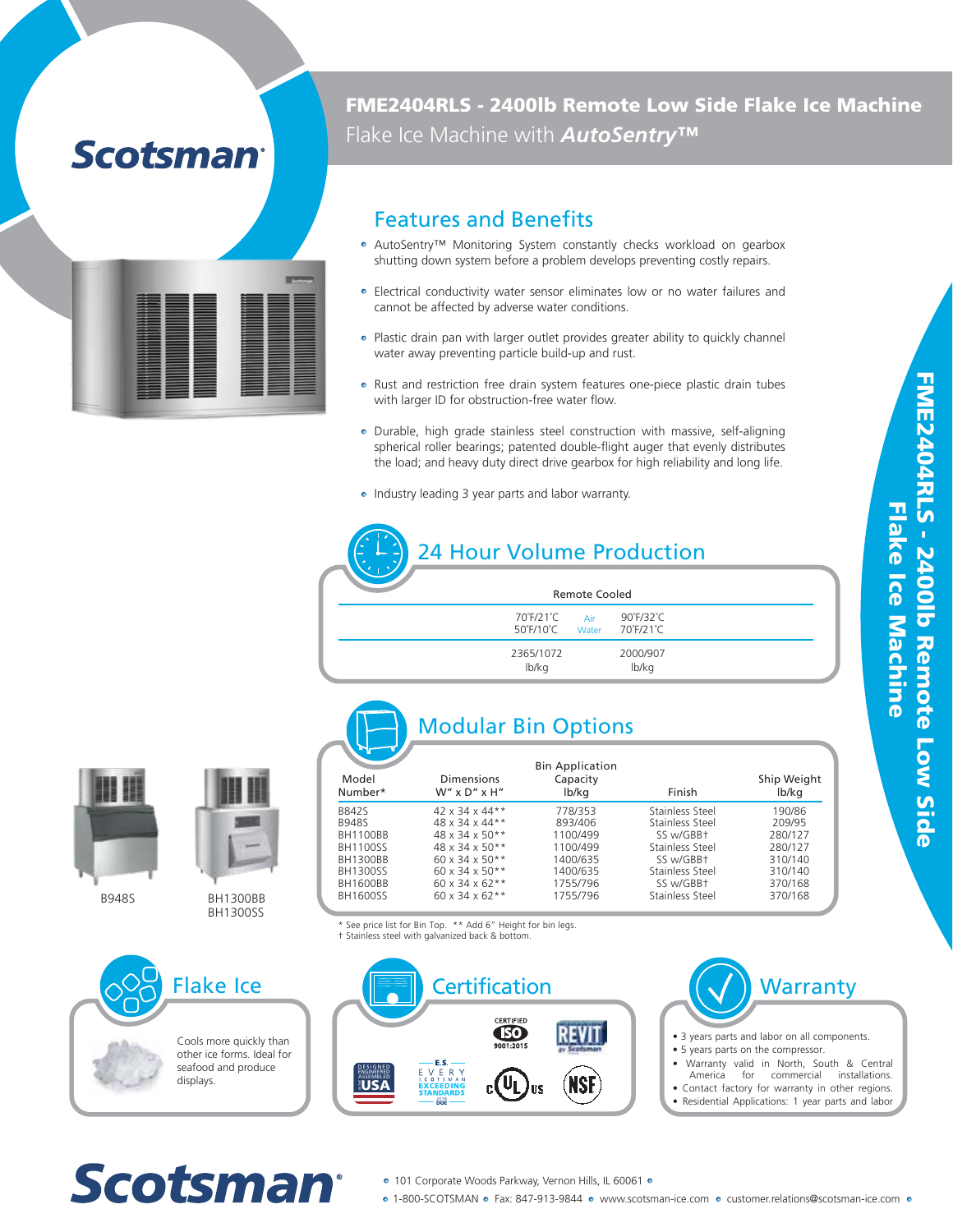## **Scotsman**

| A |  |          |
|---|--|----------|
|   |  |          |
|   |  | $\equiv$ |
|   |  |          |
|   |  |          |
|   |  |          |

FME2404RLS - 2400lb Remote Low Side Flake Ice Machine Flake Ice Machine with *AutoSentry™*

### Features and Benefits

- AutoSentry™ Monitoring System constantly checks workload on gearbox shutting down system before a problem develops preventing costly repairs.
- Electrical conductivity water sensor eliminates low or no water failures and cannot be affected by adverse water conditions.
- Plastic drain pan with larger outlet provides greater ability to quickly channel water away preventing particle build-up and rust.
- Rust and restriction free drain system features one-piece plastic drain tubes with larger ID for obstruction-free water flow.
- Durable, high grade stainless steel construction with massive, self-aligning spherical roller bearings; patented double-flight auger that evenly distributes the load; and heavy duty direct drive gearbox for high reliability and long life.
- Industry leading 3 year parts and labor warranty.

#### 24 Hour Volume Production 70˚F/21˚C 50˚F/10˚C lb/kg 2365/1072 90˚F/32˚C 70˚F/21˚C lb/kg 2000/907 Remote Cooled Air Water





B948S







Cools more quickly than other ice forms. Ideal for seafood and produce displays.

|                  | <b>Modular Bin Options</b>          |                                             |                 |                      |
|------------------|-------------------------------------|---------------------------------------------|-----------------|----------------------|
| Model<br>Number* | Dimensions<br>$W''$ x $D''$ x $H''$ | <b>Bin Application</b><br>Capacity<br>lb/kg | Finish          | Ship Weight<br>lb/kg |
| <b>B842S</b>     | $42 \times 34 \times 44**$          | 778/353                                     | Stainless Steel | 190/86               |
| <b>B948S</b>     | 48 x 34 x 44**                      | 893/406                                     | Stainless Steel | 209/95               |
| <b>BH1100BB</b>  | $48 \times 34 \times 50**$          | 1100/499                                    | SS w/GBB+       | 280/127              |
| BH1100SS         | $48 \times 34 \times 50**$          | 1100/499                                    | Stainless Steel | 280/127              |
| BH1300BB         | $60 \times 34 \times 50**$          | 1400/635                                    | SS w/GBB+       | 310/140              |
| BH1300SS         | $60 \times 34 \times 50**$          | 1400/635                                    | Stainless Steel | 310/140              |
| BH1600BB         | 60 x 34 x 62**                      | 1755/796                                    | SS w/GBB+       | 370/168              |
| BH1600SS         | $60 \times 34 \times 62**$          | 1755/796                                    | Stainless Steel | 370/168              |

\* See price list for Bin Top. \*\* Add 6" Height for bin legs.

† Stainless steel with galvanized back & bottom.





- 3 years parts and labor on all components.
- 5 years parts on the compressor.
- Warranty valid in North, South & Central
- commercial installations. • Contact factory for warranty in other regions.
- Residential Applications: 1 year parts and labor

# Scotsman

- 101 Corporate Woods Parkway, Vernon Hills, IL 60061 ●
- 1-800-SCOTSMAN · Fax: 847-913-9844 · www.scotsman-ice.com · customer.relations@scotsman-ice.com ·